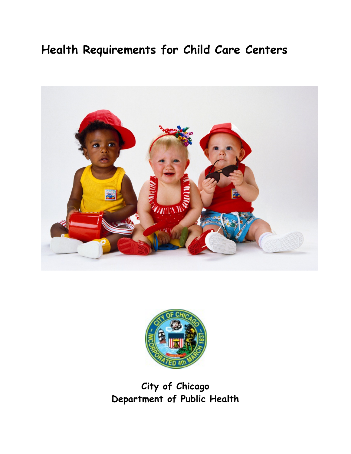# **Health Requirements for Child Care Centers**





## **City of Chicago Department of Public Health**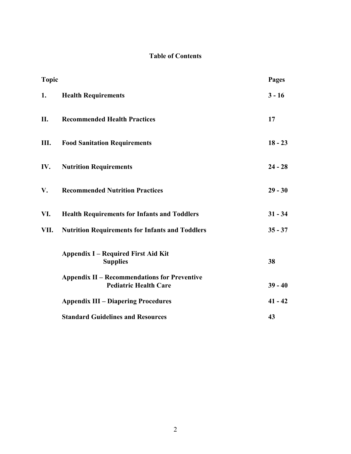## **Table of Contents**

| <b>Topic</b> |                                                                                     | <b>Pages</b> |
|--------------|-------------------------------------------------------------------------------------|--------------|
| 1.           | <b>Health Requirements</b>                                                          | $3 - 16$     |
| II.          | <b>Recommended Health Practices</b>                                                 | 17           |
| Ш.           | <b>Food Sanitation Requirements</b>                                                 | $18 - 23$    |
| IV.          | <b>Nutrition Requirements</b>                                                       | $24 - 28$    |
| V.           | <b>Recommended Nutrition Practices</b>                                              | $29 - 30$    |
| VI.          | <b>Health Requirements for Infants and Toddlers</b>                                 | $31 - 34$    |
| VII.         | <b>Nutrition Requirements for Infants and Toddlers</b>                              | $35 - 37$    |
|              | <b>Appendix I – Required First Aid Kit</b><br><b>Supplies</b>                       | 38           |
|              | <b>Appendix II - Recommendations for Preventive</b><br><b>Pediatric Health Care</b> | $39 - 40$    |
|              | <b>Appendix III – Diapering Procedures</b>                                          | $41 - 42$    |
|              | <b>Standard Guidelines and Resources</b>                                            | 43           |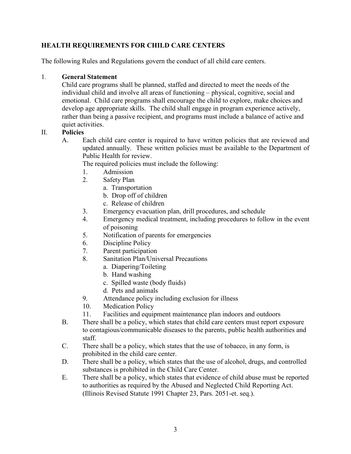### **HEALTH REQUIREMENTS FOR CHILD CARE CENTERS**

The following Rules and Regulations govern the conduct of all child care centers.

#### 1. **General Statement**

Child care programs shall be planned, staffed and directed to meet the needs of the individual child and involve all areas of functioning – physical, cognitive, social and emotional. Child care programs shall encourage the child to explore, make choices and develop age appropriate skills. The child shall engage in program experience actively, rather than being a passive recipient, and programs must include a balance of active and quiet activities.

#### II. **Policies**

A. Each child care center is required to have written policies that are reviewed and updated annually. These written policies must be available to the Department of Public Health for review.

The required policies must include the following:

- 1. Admission
- 2. Safety Plan
	- a. Transportation
	- b. Drop off of children
	- c. Release of children
- 3. Emergency evacuation plan, drill procedures, and schedule
- 4. Emergency medical treatment, including procedures to follow in the event of poisoning
- 5. Notification of parents for emergencies
- 6. Discipline Policy
- 7. Parent participation
- 8. Sanitation Plan/Universal Precautions
	- a. Diapering/Toileting
	- b. Hand washing
	- c. Spilled waste (body fluids)
	- d. Pets and animals
- 9. Attendance policy including exclusion for illness
- 10. Medication Policy
- 11. Facilities and equipment maintenance plan indoors and outdoors
- B. There shall be a policy, which states that child care centers must report exposure to contagious/communicable diseases to the parents, public health authorities and staff.
- C. There shall be a policy, which states that the use of tobacco, in any form, is prohibited in the child care center.
- D. There shall be a policy, which states that the use of alcohol, drugs, and controlled substances is prohibited in the Child Care Center.
- E. There shall be a policy, which states that evidence of child abuse must be reported to authorities as required by the Abused and Neglected Child Reporting Act. (Illinois Revised Statute 1991 Chapter 23, Pars. 2051-et. seq.).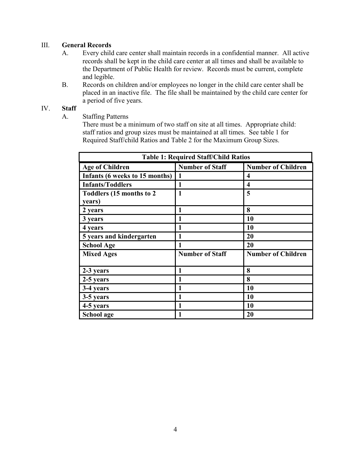#### III. **General Records**

- A. Every child care center shall maintain records in a confidential manner. All active records shall be kept in the child care center at all times and shall be available to the Department of Public Health for review. Records must be current, complete and legible.
- B. Records on children and/or employees no longer in the child care center shall be placed in an inactive file. The file shall be maintained by the child care center for a period of five years.

#### IV. **Staff**

A. Staffing Patterns

There must be a minimum of two staff on site at all times. Appropriate child: staff ratios and group sizes must be maintained at all times. See table 1 for Required Staff/child Ratios and Table 2 for the Maximum Group Sizes.

| <b>Table 1: Required Staff/Child Ratios</b> |                        |                           |  |  |  |  |  |  |
|---------------------------------------------|------------------------|---------------------------|--|--|--|--|--|--|
| <b>Age of Children</b>                      | <b>Number of Staff</b> | <b>Number of Children</b> |  |  |  |  |  |  |
| Infants (6 weeks to 15 months)              | 1                      | 4                         |  |  |  |  |  |  |
| <b>Infants/Toddlers</b>                     | 1                      | 4                         |  |  |  |  |  |  |
| Toddlers (15 months to 2                    | 1                      | 5                         |  |  |  |  |  |  |
| years)                                      |                        |                           |  |  |  |  |  |  |
| 2 years                                     | 1                      | 8                         |  |  |  |  |  |  |
| 3 years                                     | 1                      | 10                        |  |  |  |  |  |  |
| 4 years                                     | 1                      | <b>10</b>                 |  |  |  |  |  |  |
| 5 years and kindergarten                    | 1                      | 20                        |  |  |  |  |  |  |
| <b>School Age</b>                           | 1                      | 20                        |  |  |  |  |  |  |
| <b>Mixed Ages</b>                           | <b>Number of Staff</b> | <b>Number of Children</b> |  |  |  |  |  |  |
|                                             |                        |                           |  |  |  |  |  |  |
| 2-3 years                                   | 1                      | 8                         |  |  |  |  |  |  |
| 2-5 years                                   | 1                      | 8                         |  |  |  |  |  |  |
| 3-4 years                                   |                        | 10                        |  |  |  |  |  |  |
| 3-5 years                                   | 1                      | 10                        |  |  |  |  |  |  |
| 4-5 years                                   | 1                      | 10                        |  |  |  |  |  |  |
| School age                                  | 1                      | 20                        |  |  |  |  |  |  |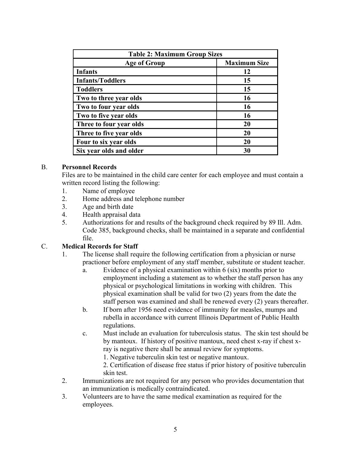| <b>Table 2: Maximum Group Sizes</b> |                     |  |  |  |  |  |  |
|-------------------------------------|---------------------|--|--|--|--|--|--|
| <b>Age of Group</b>                 | <b>Maximum Size</b> |  |  |  |  |  |  |
| <b>Infants</b>                      | 12                  |  |  |  |  |  |  |
| <b>Infants/Toddlers</b>             | 15                  |  |  |  |  |  |  |
| <b>Toddlers</b>                     | 15                  |  |  |  |  |  |  |
| Two to three year olds              | 16                  |  |  |  |  |  |  |
| Two to four year olds               | 16                  |  |  |  |  |  |  |
| Two to five year olds               | 16                  |  |  |  |  |  |  |
| Three to four year olds             | 20                  |  |  |  |  |  |  |
| Three to five year olds             | 20                  |  |  |  |  |  |  |
| Four to six year olds               | 20                  |  |  |  |  |  |  |
| Six year olds and older             | 30                  |  |  |  |  |  |  |

#### B. **Personnel Records**

Files are to be maintained in the child care center for each employee and must contain a written record listing the following:

- 1. Name of employee
- 2. Home address and telephone number
- 3. Age and birth date
- 4. Health appraisal data
- 5. Authorizations for and results of the background check required by 89 Ill. Adm. Code 385, background checks, shall be maintained in a separate and confidential file.

#### C. **Medical Records for Staff**

- 1. The license shall require the following certification from a physician or nurse practioner before employment of any staff member, substitute or student teacher.
	- a. Evidence of a physical examination within 6 (six) months prior to employment including a statement as to whether the staff person has any physical or psychological limitations in working with children. This physical examination shall be valid for two (2) years from the date the staff person was examined and shall be renewed every (2) years thereafter.
	- b. If born after 1956 need evidence of immunity for measles, mumps and rubella in accordance with current Illinois Department of Public Health regulations.
	- c. Must include an evaluation for tuberculosis status. The skin test should be by mantoux. If history of positive mantoux, need chest x-ray if chest xray is negative there shall be annual review for symptoms.

1. Negative tuberculin skin test or negative mantoux.

2. Certification of disease free status if prior history of positive tuberculin skin test.

- 2. Immunizations are not required for any person who provides documentation that an immunization is medically contraindicated.
- 3. Volunteers are to have the same medical examination as required for the employees.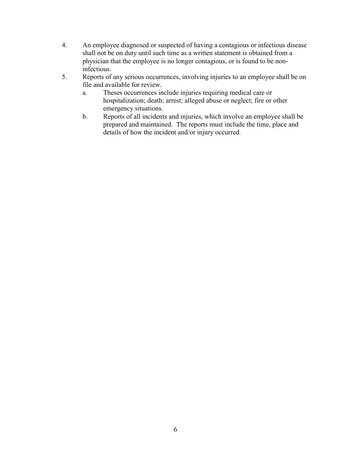- 4. An employee diagnosed or suspected of having a contagious or infectious disease shall not be on duty until such time as a written statement is obtained from a physician that the employee is no longer contagious, or is found to be noninfectious.
- 5. Reports of any serious occurrences, involving injuries to an employee shall be on file and available for review.
	- a. Theses occurrences include injuries requiring medical care or hospitalization; death; arrest; alleged abuse or neglect; fire or other emergency situations.
	- b. Reports of all incidents and injuries, which involve an employee shall be prepared and maintained. The reports must include the time, place and details of how the incident and/or injury occurred.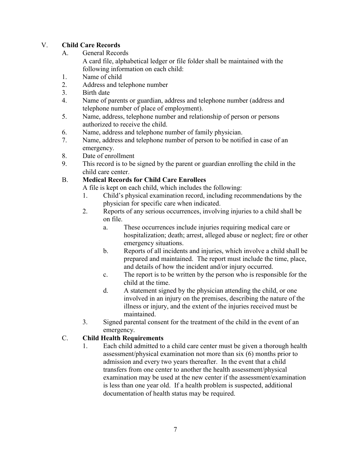## V. **Child Care Records**

A. General Records

A card file, alphabetical ledger or file folder shall be maintained with the following information on each child:

- 1. Name of child
- 2. Address and telephone number
- 3. Birth date
- 4. Name of parents or guardian, address and telephone number (address and telephone number of place of employment).
- 5. Name, address, telephone number and relationship of person or persons authorized to receive the child.
- 6. Name, address and telephone number of family physician.
- 7. Name, address and telephone number of person to be notified in case of an emergency.
- 8. Date of enrollment
- 9. This record is to be signed by the parent or guardian enrolling the child in the child care center.

## B. **Medical Records for Child Care Enrollees**

A file is kept on each child, which includes the following:

- 1. Child's physical examination record, including recommendations by the physician for specific care when indicated.
- 2. Reports of any serious occurrences, involving injuries to a child shall be on file.
	- a. These occurrences include injuries requiring medical care or hospitalization; death; arrest, alleged abuse or neglect; fire or other emergency situations.
	- b. Reports of all incidents and injuries, which involve a child shall be prepared and maintained. The report must include the time, place, and details of how the incident and/or injury occurred.
	- c. The report is to be written by the person who is responsible for the child at the time.
	- d. A statement signed by the physician attending the child, or one involved in an injury on the premises, describing the nature of the illness or injury, and the extent of the injuries received must be maintained.
- 3. Signed parental consent for the treatment of the child in the event of an emergency.

## C. **Child Health Requirements**

1. Each child admitted to a child care center must be given a thorough health assessment/physical examination not more than six (6) months prior to admission and every two years thereafter. In the event that a child transfers from one center to another the health assessment/physical examination may be used at the new center if the assessment/examination is less than one year old. If a health problem is suspected, additional documentation of health status may be required.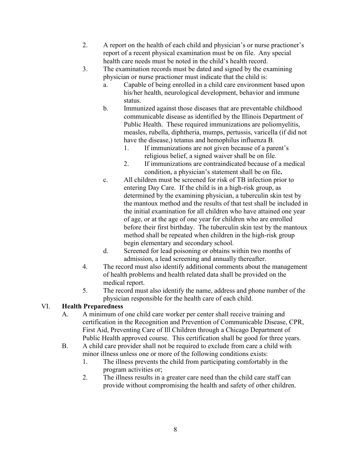- 2. A report on the health of each child and physician's or nurse practioner's report of a recent physical examination must be on file. Any special health care needs must be noted in the child's health record.
- 3. The examination records must be dated and signed by the examining physician or nurse practioner must indicate that the child is:
	- a. Capable of being enrolled in a child care environment based upon his/her health, neurological development, behavior and immune status.
	- b. Immunized against those diseases that are preventable childhood communicable disease as identified by the Illinois Department of Public Health. These required immunizations are poliomyelitis, measles, rubella, diphtheria, mumps, pertussis, varicella (if did not have the disease,) tetanus and hemophilus influenza B.
		- 1. If immunizations are not given because of a parent's religious belief, a signed waiver shall be on file.
		- 2. If immunizations are contraindicated because of a medical condition, a physician's statement shall be on file**.**
	- c. All children must be screened for risk of TB infection prior to entering Day Care. If the child is in a high-risk group, as determined by the examining physician, a tuberculin skin test by the mantoux method and the results of that test shall be included in the initial examination for all children who have attained one year of age, or at the age of one year for children who are enrolled before their first birthday. The tuberculin skin test by the mantoux method shall be repeated when children in the high-risk group begin elementary and secondary school.
	- d. Screened for lead poisoning or obtains within two months of admission, a lead screening and annually thereafter.
- 4. The record must also identify additional comments about the management of health problems and health related data shall be provided on the medical report.
- 5. The record must also identify the name, address and phone number of the physician responsible for the health care of each child.

## VI. **Health Preparedness**

- A. A minimum of one child care worker per center shall receive training and certification in the Recognition and Prevention of Communicable Disease, CPR, First Aid, Preventing Care of Ill Children through a Chicago Department of Public Health approved course. This certification shall be good for three years.
- B. A child care provider shall not be required to exclude from care a child with minor illness unless one or more of the following conditions exists:
	- 1. The illness prevents the child from participating comfortably in the program activities or;
	- 2. The illness results in a greater care need than the child care staff can provide without compromising the health and safety of other children.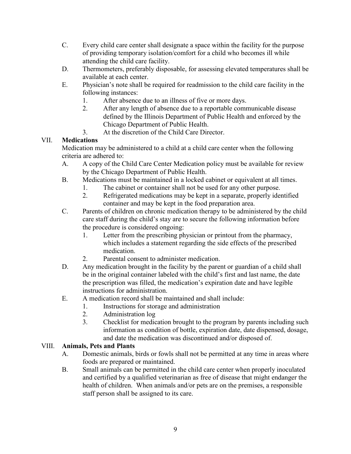- C. Every child care center shall designate a space within the facility for the purpose of providing temporary isolation/comfort for a child who becomes ill while attending the child care facility.
- D. Thermometers, preferably disposable, for assessing elevated temperatures shall be available at each center.
- E. Physician's note shall be required for readmission to the child care facility in the following instances:
	- 1. After absence due to an illness of five or more days.
	- 2. After any length of absence due to a reportable communicable disease defined by the Illinois Department of Public Health and enforced by the Chicago Department of Public Health.
	- 3. At the discretion of the Child Care Director.

## VII. **Medications**

Medication may be administered to a child at a child care center when the following criteria are adhered to:

- A. A copy of the Child Care Center Medication policy must be available for review by the Chicago Department of Public Health.
- B. Medications must be maintained in a locked cabinet or equivalent at all times.
	- 1. The cabinet or container shall not be used for any other purpose.
	- 2. Refrigerated medications may be kept in a separate, properly identified container and may be kept in the food preparation area.
- C. Parents of children on chronic medication therapy to be administered by the child care staff during the child's stay are to secure the following information before the procedure is considered ongoing:
	- 1. Letter from the prescribing physician or printout from the pharmacy, which includes a statement regarding the side effects of the prescribed medication.
	- 2. Parental consent to administer medication.
- D. Any medication brought in the facility by the parent or guardian of a child shall be in the original container labeled with the child's first and last name, the date the prescription was filled, the medication's expiration date and have legible instructions for administration.
- E. A medication record shall be maintained and shall include:
	- 1. Instructions for storage and administration
	- 2. Administration log
	- 3. Checklist for medication brought to the program by parents including such information as condition of bottle, expiration date, date dispensed, dosage, and date the medication was discontinued and/or disposed of.

#### VIII. **Animals, Pets and Plants**

- A. Domestic animals, birds or fowls shall not be permitted at any time in areas where foods are prepared or maintained.
- B. Small animals can be permitted in the child care center when properly inoculated and certified by a qualified veterinarian as free of disease that might endanger the health of children. When animals and/or pets are on the premises, a responsible staff person shall be assigned to its care.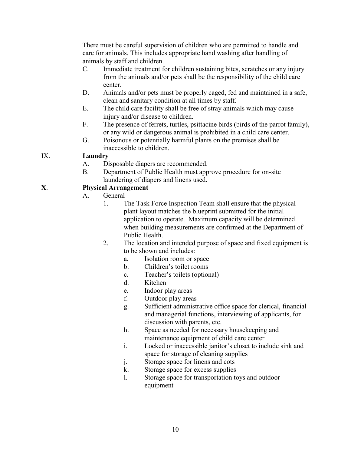There must be careful supervision of children who are permitted to handle and care for animals. This includes appropriate hand washing after handling of animals by staff and children.

- C. Immediate treatment for children sustaining bites, scratches or any injury from the animals and/or pets shall be the responsibility of the child care center.
- D. Animals and/or pets must be properly caged, fed and maintained in a safe, clean and sanitary condition at all times by staff.
- E. The child care facility shall be free of stray animals which may cause injury and/or disease to children.
- F. The presence of ferrets, turtles, psittacine birds (birds of the parrot family), or any wild or dangerous animal is prohibited in a child care center.
- G. Poisonous or potentially harmful plants on the premises shall be inaccessible to children.

## IX. **Laundry**

- A. Disposable diapers are recommended.
- B. Department of Public Health must approve procedure for on-site laundering of diapers and linens used.

## **X**. **Physical Arrangement**

- A. General
	- 1. The Task Force Inspection Team shall ensure that the physical plant layout matches the blueprint submitted for the initial application to operate. Maximum capacity will be determined when building measurements are confirmed at the Department of Public Health.
	- 2. The location and intended purpose of space and fixed equipment is to be shown and includes:
		- a. Isolation room or space
		- b. Children's toilet rooms
		- c. Teacher's toilets (optional)
		- d. Kitchen
		- e. Indoor play areas
		- f. Outdoor play areas
		- g. Sufficient administrative office space for clerical, financial and managerial functions, interviewing of applicants, for discussion with parents, etc.
		- h. Space as needed for necessary housekeeping and maintenance equipment of child care center
		- i. Locked or inaccessible janitor's closet to include sink and space for storage of cleaning supplies
		- j. Storage space for linens and cots
		- k. Storage space for excess supplies
		- l. Storage space for transportation toys and outdoor equipment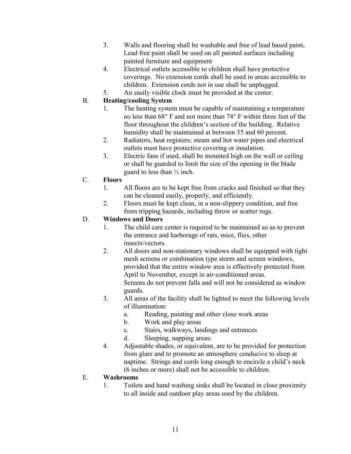- 3. Walls and flooring shall be washable and free of lead based paint**.**  Lead free paint shall be used on all painted surfaces including painted furniture and equipment
- 4. Electrical outlets accessible to children shall have protective coverings. No extension cords shall be used in areas accessible to children. Extension cords not in use shall be unplugged.
- 5. An easily visible clock must be provided at the center.

## B. **Heating/cooling System**

- 1. The heating system must be capable of maintaining a temperature no less than 68° F and not more than 74° F within three feet of the floor throughout the children's section of the building. Relative humidity shall be maintained at between 35 and 60 percent.
- 2. Radiators, heat registers; steam and hot water pipes and electrical outlets must have protective covering or insulation.
- 3. Electric fans if used, shall be mounted high on the wall or ceiling or shall be guarded to limit the size of the opening in the blade guard to less than  $\frac{1}{2}$  inch.

## C. **Floors**

- 1. All floors are to be kept free from cracks and finished so that they can be cleaned easily, properly, and efficiently.
- 2. Floors must be kept clean, in a non-slippery condition, and free from tripping hazards, including throw or scatter rugs.

## D. **Windows and Doors**

- 1. The child care center is required to be maintained so as to prevent the entrance and harborage of rats, mice, flies, other insects/vectors.
- 2. All doors and non-stationary windows shall be equipped with tight mesh screens or combination type storm and screen windows, provided that the entire window area is effectively protected from April to November, except in air-conditioned areas. Screens do not prevent falls and will not be considered as window guards.
- 3. All areas of the facility shall be lighted to meet the following levels of illumination:
	- a. Reading, painting and other close work areas
	- b. Work and play areas
	- c. Stairs, walkways, landings and entrances
	- d. Sleeping, napping areas:
- 4. Adjustable shades, or equivalent, are to be provided for protection from glare and to promote an atmosphere conducive to sleep at naptime. Strings and cords long enough to encircle a child's neck (6 inches or more) shall not be accessible to children.

## E. **Washrooms**

1. Toilets and hand washing sinks shall be located in close proximity to all inside and outdoor play areas used by the children.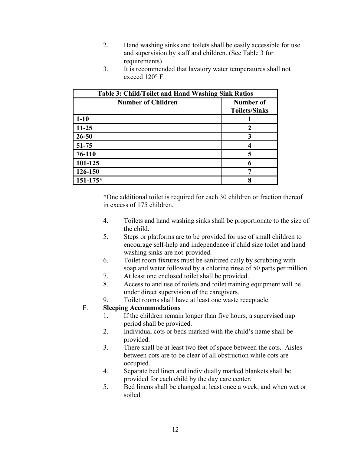- 2. Hand washing sinks and toilets shall be easily accessible for use and supervision by staff and children. (See Table 3 for requirements)
- 3. It is recommended that lavatory water temperatures shall not exceed 120° F.

|                           | <b>Table 3: Child/Toilet and Hand Washing Sink Ratios</b> |  |  |  |  |  |  |  |
|---------------------------|-----------------------------------------------------------|--|--|--|--|--|--|--|
| <b>Number of Children</b> | Number of                                                 |  |  |  |  |  |  |  |
|                           | <b>Toilets/Sinks</b>                                      |  |  |  |  |  |  |  |
| $1 - 10$                  |                                                           |  |  |  |  |  |  |  |
| $11 - 25$                 | $\mathbf 2$                                               |  |  |  |  |  |  |  |
| $26 - 50$                 | 3                                                         |  |  |  |  |  |  |  |
| $51 - 75$                 |                                                           |  |  |  |  |  |  |  |
| 76-110                    | 5                                                         |  |  |  |  |  |  |  |
| 101-125                   | 6                                                         |  |  |  |  |  |  |  |
| 126-150                   |                                                           |  |  |  |  |  |  |  |
| $151 - 175*$              | 8                                                         |  |  |  |  |  |  |  |

\*One additional toilet is required for each 30 children or fraction thereof in excess of 175 children.

- 4. Toilets and hand washing sinks shall be proportionate to the size of the child.
- 5. Steps or platforms are to be provided for use of small children to encourage self-help and independence if child size toilet and hand washing sinks are not provided.
- 6. Toilet room fixtures must be sanitized daily by scrubbing with soap and water followed by a chlorine rinse of 50 parts per million.
- 7. At least one enclosed toilet shall be provided.
- 8. Access to and use of toilets and toilet training equipment will be under direct supervision of the caregivers.
- 9. Toilet rooms shall have at least one waste receptacle.

## F. **Sleeping Accommodations**

- 1. If the children remain longer than five hours, a supervised nap period shall be provided.
- 2. Individual cots or beds marked with the child's name shall be provided.
- 3. There shall be at least two feet of space between the cots. Aisles between cots are to be clear of all obstruction while cots are occupied.
- 4. Separate bed linen and individually marked blankets shall be provided for each child by the day care center.
- 5. Bed linens shall be changed at least once a week, and when wet or soiled.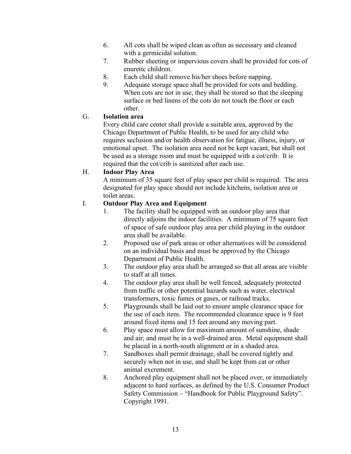- 6. All cots shall be wiped clean as often as necessary and cleaned with a germicidal solution.
- 7. Rubber sheeting or impervious covers shall be provided for cots of enuretic children.
- 8. Each child shall remove his/her shoes before napping.
- 9. Adequate storage space shall be provided for cots and bedding. When cots are not in use, they shall be stored so that the sleeping surface or bed linens of the cots do not touch the floor or each other.

## G. **Isolation area**

Every child care center shall provide a suitable area, approved by the Chicago Department of Public Health, to be used for any child who requires seclusion and/or health observation for fatigue, illness, injury, or emotional upset. The isolation area need not be kept vacant, but shall not be used as a storage room and must be equipped with a cot/crib. It is required that the cot/crib is sanitized after each use.

## H. **Indoor Play Area**

A minimum of 35 square feet of play space per child is required. The area designated for play space should not include kitchens, isolation area or toilet areas.

## I. **Outdoor Play Area and Equipment**

- 1. The facility shall be equipped with an outdoor play area that directly adjoins the indoor facilities. A minimum of 75 square feet of space of safe outdoor play area per child playing in the outdoor area shall be available.
- 2. Proposed use of park areas or other alternatives will be considered on an individual basis and must be approved by the Chicago Department of Public Health.
- 3. The outdoor play area shall be arranged so that all areas are visible to staff at all times.
- 4. The outdoor play area shall be well fenced, adequately protected from traffic or other potential hazards such as water, electrical transformers, toxic fumes or gases, or railroad tracks.
- 5. Playgrounds shall be laid out to ensure ample clearance space for the use of each item. The recommended clearance space is 9 feet around fixed items and 15 feet around any moving part.
- 6. Play space must allow for maximum amount of sunshine, shade and air; and must be in a well-drained area. Metal equipment shall be placed in a north-south alignment or in a shaded area.
- 7. Sandboxes shall permit drainage, shall be covered tightly and securely when not in use, and shall be kept from cat or other animal excrement.
- 8. Anchored play equipment shall not be placed over, or immediately adjacent to hard surfaces, as defined by the U.S. Consumer Product Safety Commission – "Handbook for Public Playground Safety". Copyright 1991.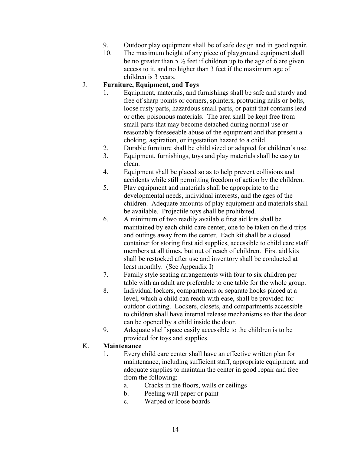- 9. Outdoor play equipment shall be of safe design and in good repair.
- 10. The maximum height of any piece of playground equipment shall be no greater than  $\frac{5}{2}$  feet if children up to the age of 6 are given access to it, and no higher than 3 feet if the maximum age of children is 3 years.

## J. **Furniture, Equipment, and Toys**

- 1. Equipment, materials, and furnishings shall be safe and sturdy and free of sharp points or corners, splinters, protruding nails or bolts, loose rusty parts, hazardous small parts, or paint that contains lead or other poisonous materials. The area shall be kept free from small parts that may become detached during normal use or reasonably foreseeable abuse of the equipment and that present a choking, aspiration, or ingestation hazard to a child.
- 2. Durable furniture shall be child sized or adapted for children's use.
- 3. Equipment, furnishings, toys and play materials shall be easy to clean.
- 4. Equipment shall be placed so as to help prevent collisions and accidents while still permitting freedom of action by the children.
- 5. Play equipment and materials shall be appropriate to the developmental needs, individual interests, and the ages of the children. Adequate amounts of play equipment and materials shall be available. Projectile toys shall be prohibited.
- 6. A minimum of two readily available first aid kits shall be maintained by each child care center, one to be taken on field trips and outings away from the center. Each kit shall be a closed container for storing first aid supplies, accessible to child care staff members at all times, but out of reach of children. First aid kits shall be restocked after use and inventory shall be conducted at least monthly. (See Appendix I)
- 7. Family style seating arrangements with four to six children per table with an adult are preferable to one table for the whole group.
- 8. Individual lockers, compartments or separate hooks placed at a level, which a child can reach with ease, shall be provided for outdoor clothing. Lockers, closets, and compartments accessible to children shall have internal release mechanisms so that the door can be opened by a child inside the door.
- 9. Adequate shelf space easily accessible to the children is to be provided for toys and supplies.

#### K. **Maintenance**

- 1. Every child care center shall have an effective written plan for maintenance, including sufficient staff, appropriate equipment, and adequate supplies to maintain the center in good repair and free from the following:
	- a. Cracks in the floors, walls or ceilings
	- b. Peeling wall paper or paint
	- c. Warped or loose boards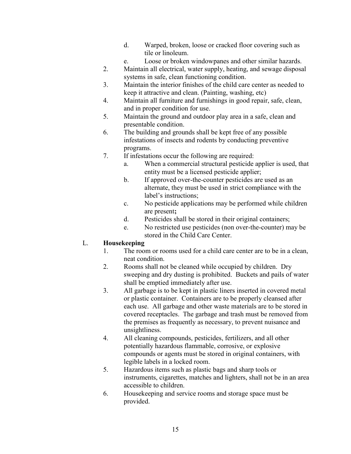- d. Warped, broken, loose or cracked floor covering such as tile or linoleum.
- e. Loose or broken windowpanes and other similar hazards.
- 2. Maintain all electrical, water supply, heating, and sewage disposal systems in safe, clean functioning condition.
- 3. Maintain the interior finishes of the child care center as needed to keep it attractive and clean. (Painting, washing, etc)
- 4. Maintain all furniture and furnishings in good repair, safe, clean, and in proper condition for use.
- 5. Maintain the ground and outdoor play area in a safe, clean and presentable condition.
- 6. The building and grounds shall be kept free of any possible infestations of insects and rodents by conducting preventive programs.
- 7. If infestations occur the following are required:
	- a. When a commercial structural pesticide applier is used, that entity must be a licensed pesticide applier;
	- b. If approved over-the-counter pesticides are used as an alternate, they must be used in strict compliance with the label's instructions;
	- c. No pesticide applications may be performed while children are present**;**
	- d. Pesticides shall be stored in their original containers;
	- e. No restricted use pesticides (non over-the-counter) may be stored in the Child Care Center.

## L. **Housekeeping**

- 1. The room or rooms used for a child care center are to be in a clean, neat condition.
- 2. Rooms shall not be cleaned while occupied by children. Dry sweeping and dry dusting is prohibited. Buckets and pails of water shall be emptied immediately after use.
- 3. All garbage is to be kept in plastic liners inserted in covered metal or plastic container. Containers are to be properly cleansed after each use. All garbage and other waste materials are to be stored in covered receptacles. The garbage and trash must be removed from the premises as frequently as necessary, to prevent nuisance and unsightliness.
- 4. All cleaning compounds, pesticides, fertilizers, and all other potentially hazardous flammable, corrosive, or explosive compounds or agents must be stored in original containers, with legible labels in a locked room.
- 5. Hazardous items such as plastic bags and sharp tools or instruments, cigarettes, matches and lighters, shall not be in an area accessible to children.
- 6. Housekeeping and service rooms and storage space must be provided.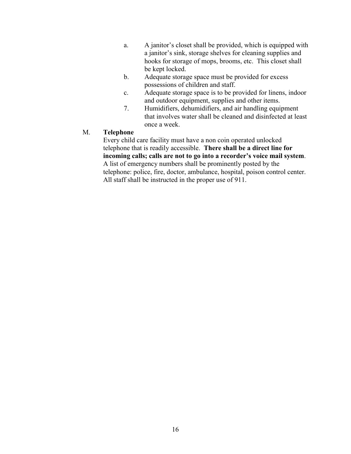- a. A janitor's closet shall be provided, which is equipped with a janitor's sink, storage shelves for cleaning supplies and hooks for storage of mops, brooms, etc. This closet shall be kept locked.
- b. Adequate storage space must be provided for excess possessions of children and staff.
- c. Adequate storage space is to be provided for linens, indoor and outdoor equipment, supplies and other items.
- 7. Humidifiers, dehumidifiers, and air handling equipment that involves water shall be cleaned and disinfected at least once a week.

#### M. **Telephone**

Every child care facility must have a non coin operated unlocked telephone that is readily accessible. **There shall be a direct line for incoming calls; calls are not to go into a recorder's voice mail system**. A list of emergency numbers shall be prominently posted by the telephone: police, fire, doctor, ambulance, hospital, poison control center. All staff shall be instructed in the proper use of 911.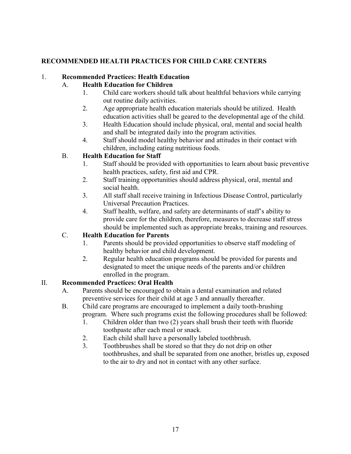## **RECOMMENDED HEALTH PRACTICES FOR CHILD CARE CENTERS**

## 1. **Recommended Practices: Health Education**

## A. **Health Education for Children**

- 1. Child care workers should talk about healthful behaviors while carrying out routine daily activities.
- 2. Age appropriate health education materials should be utilized. Health education activities shall be geared to the developmental age of the child.
- 3. Health Education should include physical, oral, mental and social health and shall be integrated daily into the program activities.
- 4. Staff should model healthy behavior and attitudes in their contact with children, including eating nutritious foods.

## B. **Health Education for Staff**

- 1. Staff should be provided with opportunities to learn about basic preventive health practices, safety, first aid and CPR.
- 2. Staff training opportunities should address physical, oral, mental and social health.
- 3. All staff shall receive training in Infectious Disease Control, particularly Universal Precaution Practices.
- 4. Staff health, welfare, and safety are determinants of staff's ability to provide care for the children, therefore, measures to decrease staff stress should be implemented such as appropriate breaks, training and resources.

## C. **Health Education for Parents**

- 1. Parents should be provided opportunities to observe staff modeling of healthy behavior and child development.
- 2. Regular health education programs should be provided for parents and designated to meet the unique needs of the parents and/or children enrolled in the program.

## II. **Recommended Practices: Oral Health**

- A. Parents should be encouraged to obtain a dental examination and related preventive services for their child at age 3 and annually thereafter.
- B. Child care programs are encouraged to implement a daily tooth-brushing program.Where such programs exist the following procedures shall be followed:
	- 1. Children older than two (2) years shall brush their teeth with fluoride toothpaste after each meal or snack.
	- 2. Each child shall have a personally labeled toothbrush.
	- 3. Toothbrushes shall be stored so that they do not drip on other toothbrushes, and shall be separated from one another, bristles up, exposed to the air to dry and not in contact with any other surface.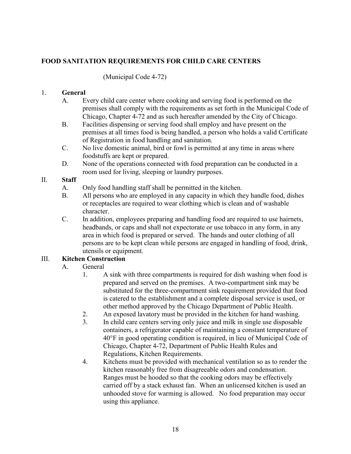## **FOOD SANITATION REQUIREMENTS FOR CHILD CARE CENTERS**

#### (Municipal Code 4-72)

#### 1. **General**

- A. Every child care center where cooking and serving food is performed on the premises shall comply with the requirements as set forth in the Municipal Code of Chicago, Chapter 4-72 and as such hereafter amended by the City of Chicago.
- B. Facilities dispensing or serving food shall employ and have present on the premises at all times food is being handled, a person who holds a valid Certificate of Registration in food handling and sanitation.
- C. No live domestic animal, bird or fowl is permitted at any time in areas where foodstuffs are kept or prepared.
- D. None of the operations connected with food preparation can be conducted in a room used for living, sleeping or laundry purposes.

#### II. **Staff**

- A. Only food handling staff shall be permitted in the kitchen.
- B. All persons who are employed in any capacity in which they handle food, dishes or receptacles are required to wear clothing which is clean and of washable character.
- C. In addition, employees preparing and handling food are required to use hairnets, headbands, or caps and shall not expectorate or use tobacco in any form, in any area in which food is prepared or served. The hands and outer clothing of all persons are to be kept clean while persons are engaged in handling of food, drink, utensils or equipment.

## III. **Kitchen Construction**

## A. General

- 1. A sink with three compartments is required for dish washing when food is prepared and served on the premises. A two-compartment sink may be substituted for the three-compartment sink requirement provided that food is catered to the establishment and a complete disposal service is used, or other method approved by the Chicago Department of Public Health.
- 2. An exposed lavatory must be provided in the kitchen for hand washing.
- 3. In child care centers serving only juice and milk in single use disposable containers, a refrigerator capable of maintaining a constant temperature of 40°F in good operating condition is required, in lieu of Municipal Code of Chicago, Chapter 4-72, Department of Public Health Rules and Regulations, Kitchen Requirements.
- 4. Kitchens must be provided with mechanical ventilation so as to render the kitchen reasonably free from disagreeable odors and condensation. Ranges must be hooded so that the cooking odors may be effectively carried off by a stack exhaust fan. When an unlicensed kitchen is used an unhooded stove for warming is allowed. No food preparation may occur using this appliance.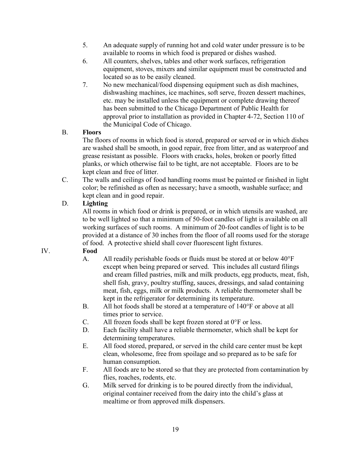- 5. An adequate supply of running hot and cold water under pressure is to be available to rooms in which food is prepared or dishes washed.
- 6. All counters, shelves, tables and other work surfaces, refrigeration equipment, stoves, mixers and similar equipment must be constructed and located so as to be easily cleaned.
- 7. No new mechanical/food dispensing equipment such as dish machines, dishwashing machines, ice machines, soft serve, frozen dessert machines, etc. may be installed unless the equipment or complete drawing thereof has been submitted to the Chicago Department of Public Health for approval prior to installation as provided in Chapter 4-72, Section 110 of the Municipal Code of Chicago.

## B. **Floors**

The floors of rooms in which food is stored, prepared or served or in which dishes are washed shall be smooth, in good repair, free from litter, and as waterproof and grease resistant as possible. Floors with cracks, holes, broken or poorly fitted planks, or which otherwise fail to be tight, are not acceptable. Floors are to be kept clean and free of litter.

C. The walls and ceilings of food handling rooms must be painted or finished in light color; be refinished as often as necessary; have a smooth, washable surface; and kept clean and in good repair.

## D. **Lighting**

All rooms in which food or drink is prepared, or in which utensils are washed, are to be well lighted so that a minimum of 50-foot candles of light is available on all working surfaces of such rooms. A minimum of 20-foot candles of light is to be provided at a distance of 30 inches from the floor of all rooms used for the storage of food. A protective shield shall cover fluorescent light fixtures.

## IV. **Food**

- A. All readily perishable foods or fluids must be stored at or below 40°F except when being prepared or served. This includes all custard filings and cream filled pastries, milk and milk products, egg products, meat, fish, shell fish, gravy, poultry stuffing, sauces, dressings, and salad containing meat, fish, eggs, milk or milk products. A reliable thermometer shall be kept in the refrigerator for determining its temperature.
- B. All hot foods shall be stored at a temperature of 140°F or above at all times prior to service.
- C. All frozen foods shall be kept frozen stored at  $0^{\circ}$ F or less.
- D. Each facility shall have a reliable thermometer, which shall be kept for determining temperatures.
- E. All food stored, prepared, or served in the child care center must be kept clean, wholesome, free from spoilage and so prepared as to be safe for human consumption.
- F. All foods are to be stored so that they are protected from contamination by flies, roaches, rodents, etc.
- G. Milk served for drinking is to be poured directly from the individual, original container received from the dairy into the child's glass at mealtime or from approved milk dispensers.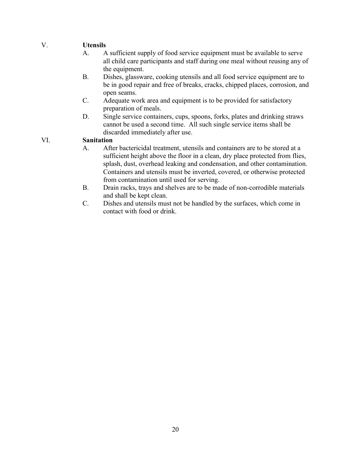### V. **Utensils**

- A. A sufficient supply of food service equipment must be available to serve all child care participants and staff during one meal without reusing any of the equipment.
- B. Dishes, glassware, cooking utensils and all food service equipment are to be in good repair and free of breaks, cracks, chipped places, corrosion, and open seams.
- C. Adequate work area and equipment is to be provided for satisfactory preparation of meals.
- D. Single service containers, cups, spoons, forks, plates and drinking straws cannot be used a second time. All such single service items shall be discarded immediately after use.

#### VI. **Sanitation**

- A. After bactericidal treatment, utensils and containers are to be stored at a sufficient height above the floor in a clean, dry place protected from flies, splash, dust, overhead leaking and condensation, and other contamination. Containers and utensils must be inverted, covered, or otherwise protected from contamination until used for serving.
- B. Drain racks, trays and shelves are to be made of non-corrodible materials and shall be kept clean.
- C. Dishes and utensils must not be handled by the surfaces, which come in contact with food or drink.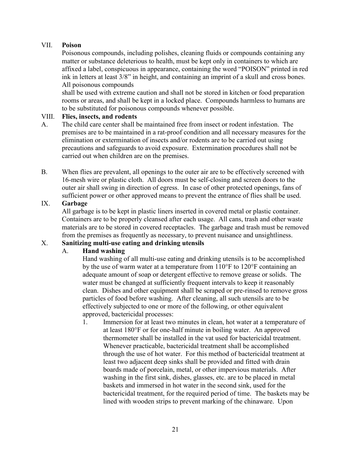#### VII. **Poison**

Poisonous compounds, including polishes, cleaning fluids or compounds containing any matter or substance deleterious to health, must be kept only in containers to which are affixed a label, conspicuous in appearance, containing the word "POISON" printed in red ink in letters at least 3/8" in height, and containing an imprint of a skull and cross bones. All poisonous compounds

shall be used with extreme caution and shall not be stored in kitchen or food preparation rooms or areas, and shall be kept in a locked place. Compounds harmless to humans are to be substituted for poisonous compounds whenever possible.

#### VIII. **Flies, insects, and rodents**

- A. The child care center shall be maintained free from insect or rodent infestation. The premises are to be maintained in a rat-proof condition and all necessary measures for the elimination or extermination of insects and/or rodents are to be carried out using precautions and safeguards to avoid exposure. Extermination procedures shall not be carried out when children are on the premises.
- B. When flies are prevalent, all openings to the outer air are to be effectively screened with 16-mesh wire or plastic cloth. All doors must be self-closing and screen doors to the outer air shall swing in direction of egress. In case of other protected openings, fans of sufficient power or other approved means to prevent the entrance of flies shall be used.

#### IX. **Garbage**

All garbage is to be kept in plastic liners inserted in covered metal or plastic container. Containers are to be properly cleansed after each usage. All cans, trash and other waste materials are to be stored in covered receptacles. The garbage and trash must be removed from the premises as frequently as necessary, to prevent nuisance and unsightliness.

#### X. **Sanitizing multi-use eating and drinking utensils**

#### A. **Hand washing**

Hand washing of all multi-use eating and drinking utensils is to be accomplished by the use of warm water at a temperature from 110°F to 120°F containing an adequate amount of soap or detergent effective to remove grease or solids. The water must be changed at sufficiently frequent intervals to keep it reasonably clean. Dishes and other equipment shall be scraped or pre-rinsed to remove gross particles of food before washing. After cleaning, all such utensils are to be effectively subjected to one or more of the following, or other equivalent approved, bactericidal processes:

1. Immersion for at least two minutes in clean, hot water at a temperature of at least 180°F or for one-half minute in boiling water. An approved thermometer shall be installed in the vat used for bactericidal treatment. Whenever practicable, bactericidal treatment shall be accomplished through the use of hot water. For this method of bactericidal treatment at least two adjacent deep sinks shall be provided and fitted with drain boards made of porcelain, metal, or other impervious materials. After washing in the first sink, dishes, glasses, etc. are to be placed in metal baskets and immersed in hot water in the second sink, used for the bactericidal treatment, for the required period of time. The baskets may be lined with wooden strips to prevent marking of the chinaware. Upon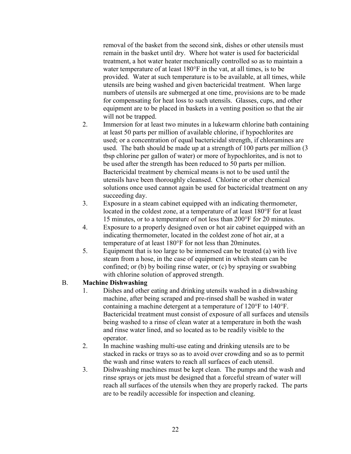removal of the basket from the second sink, dishes or other utensils must remain in the basket until dry. Where hot water is used for bactericidal treatment, a hot water heater mechanically controlled so as to maintain a water temperature of at least 180°F in the vat, at all times, is to be provided. Water at such temperature is to be available, at all times, while utensils are being washed and given bactericidal treatment. When large numbers of utensils are submerged at one time, provisions are to be made for compensating for heat loss to such utensils. Glasses, cups, and other equipment are to be placed in baskets in a venting position so that the air will not be trapped.

- 2. Immersion for at least two minutes in a lukewarm chlorine bath containing at least 50 parts per million of available chlorine, if hypochlorites are used; or a concentration of equal bactericidal strength, if chloramines are used. The bath should be made up at a strength of 100 parts per million (3 tbsp chlorine per gallon of water) or more of hypochlorites, and is not to be used after the strength has been reduced to 50 parts per million. Bactericidal treatment by chemical means is not to be used until the utensils have been thoroughly cleansed. Chlorine or other chemical solutions once used cannot again be used for bactericidal treatment on any succeeding day.
- 3. Exposure in a steam cabinet equipped with an indicating thermometer, located in the coldest zone, at a temperature of at least 180°F for at least 15 minutes, or to a temperature of not less than 200°F for 20 minutes.
- 4. Exposure to a properly designed oven or hot air cabinet equipped with an indicating thermometer, located in the coldest zone of hot air, at a temperature of at least 180°F for not less than 20minutes.
- 5. Equipment that is too large to be immersed can be treated (a) with live steam from a hose, in the case of equipment in which steam can be confined; or (b) by boiling rinse water, or (c) by spraying or swabbing with chlorine solution of approved strength.

#### B. **Machine Dishwashing**

- 1. Dishes and other eating and drinking utensils washed in a dishwashing machine, after being scraped and pre-rinsed shall be washed in water containing a machine detergent at a temperature of 120°F to 140°F. Bactericidal treatment must consist of exposure of all surfaces and utensils being washed to a rinse of clean water at a temperature in both the wash and rinse water lined, and so located as to be readily visible to the operator.
- 2. In machine washing multi-use eating and drinking utensils are to be stacked in racks or trays so as to avoid over crowding and so as to permit the wash and rinse waters to reach all surfaces of each utensil.
- 3. Dishwashing machines must be kept clean. The pumps and the wash and rinse sprays or jets must be designed that a forceful stream of water will reach all surfaces of the utensils when they are properly racked. The parts are to be readily accessible for inspection and cleaning.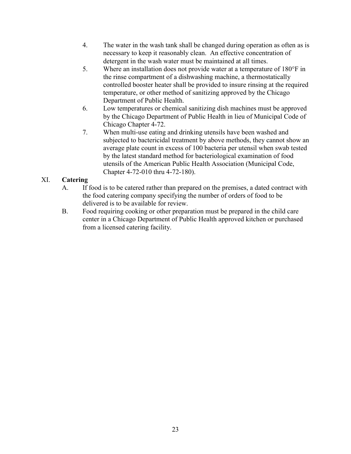- 4. The water in the wash tank shall be changed during operation as often as is necessary to keep it reasonably clean. An effective concentration of detergent in the wash water must be maintained at all times.
- 5. Where an installation does not provide water at a temperature of 180°F in the rinse compartment of a dishwashing machine, a thermostatically controlled booster heater shall be provided to insure rinsing at the required temperature, or other method of sanitizing approved by the Chicago Department of Public Health.
- 6. Low temperatures or chemical sanitizing dish machines must be approved by the Chicago Department of Public Health in lieu of Municipal Code of Chicago Chapter 4-72.
- 7. When multi-use eating and drinking utensils have been washed and subjected to bactericidal treatment by above methods, they cannot show an average plate count in excess of 100 bacteria per utensil when swab tested by the latest standard method for bacteriological examination of food utensils of the American Public Health Association (Municipal Code, Chapter 4-72-010 thru 4-72-180).

## XI. **Catering**

- A. If food is to be catered rather than prepared on the premises, a dated contract with the food catering company specifying the number of orders of food to be delivered is to be available for review.
- B. Food requiring cooking or other preparation must be prepared in the child care center in a Chicago Department of Public Health approved kitchen or purchased from a licensed catering facility.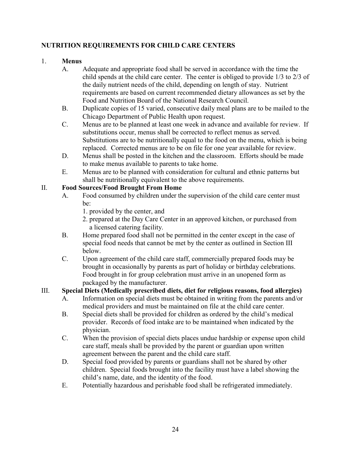## **NUTRITION REQUIREMENTS FOR CHILD CARE CENTERS**

## 1. **Menus**

- A. Adequate and appropriate food shall be served in accordance with the time the child spends at the child care center. The center is obliged to provide 1/3 to 2/3 of the daily nutrient needs of the child, depending on length of stay. Nutrient requirements are based on current recommended dietary allowances as set by the Food and Nutrition Board of the National Research Council.
- B. Duplicate copies of 15 varied, consecutive daily meal plans are to be mailed to the Chicago Department of Public Health upon request.
- C. Menus are to be planned at least one week in advance and available for review. If substitutions occur, menus shall be corrected to reflect menus as served. Substitutions are to be nutritionally equal to the food on the menu, which is being replaced. Corrected menus are to be on file for one year available for review.
- D. Menus shall be posted in the kitchen and the classroom. Efforts should be made to make menus available to parents to take home.
- E. Menus are to be planned with consideration for cultural and ethnic patterns but shall be nutritionally equivalent to the above requirements.

## II. **Food Sources/Food Brought From Home**

- A. Food consumed by children under the supervision of the child care center must be:
	- 1. provided by the center, and
	- 2. prepared at the Day Care Center in an approved kitchen, or purchased from a licensed catering facility.
- B. Home prepared food shall not be permitted in the center except in the case of special food needs that cannot be met by the center as outlined in Section III below.
- C. Upon agreement of the child care staff, commercially prepared foods may be brought in occasionally by parents as part of holiday or birthday celebrations. Food brought in for group celebration must arrive in an unopened form as packaged by the manufacturer.

## III. **Special Diets (Medically prescribed diets, diet for religious reasons, food allergies)**

- A. Information on special diets must be obtained in writing from the parents and/or medical providers and must be maintained on file at the child care center.
- B. Special diets shall be provided for children as ordered by the child's medical provider. Records of food intake are to be maintained when indicated by the physician.
- C. When the provision of special diets places undue hardship or expense upon child care staff, meals shall be provided by the parent or guardian upon written agreement between the parent and the child care staff.
- D. Special food provided by parents or guardians shall not be shared by other children. Special foods brought into the facility must have a label showing the child's name, date, and the identity of the food.
- E. Potentially hazardous and perishable food shall be refrigerated immediately.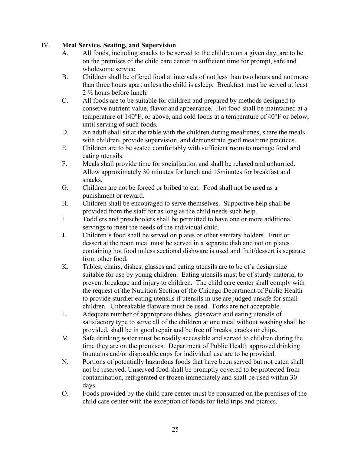#### IV. **Meal Service, Seating, and Supervision**

- A. All foods, including snacks to be served to the children on a given day, are to be on the premises of the child care center in sufficient time for prompt, safe and wholesome service.
- B. Children shall be offered food at intervals of not less than two hours and not more than three hours apart unless the child is asleep. Breakfast must be served at least 2 ½ hours before lunch.
- C. All foods are to be suitable for children and prepared by methods designed to conserve nutrient value, flavor and appearance. Hot food shall be maintained at a temperature of 140°F, or above, and cold foods at a temperature of 40°F or below, until serving of such foods.
- D. An adult shall sit at the table with the children during mealtimes, share the meals with children, provide supervision, and demonstrate good mealtime practices.
- E. Children are to be seated comfortably with sufficient room to manage food and eating utensils.
- F. Meals shall provide time for socialization and shall be relaxed and unhurried. Allow approximately 30 minutes for lunch and 15minutes for breakfast and snacks.
- G. Children are not be forced or bribed to eat. Food shall not be used as a punishment or reward.
- H. Children shall be encouraged to serve themselves. Supportive help shall be provided from the staff for as long as the child needs such help.
- I. Toddlers and preschoolers shall be permitted to have one or more additional servings to meet the needs of the individual child.
- J. Children's food shall be served on plates or other sanitary holders. Fruit or dessert at the noon meal must be served in a separate dish and not on plates containing hot food unless sectional dishware is used and fruit/dessert is separate from other food.
- K. Tables, chairs, dishes, glasses and eating utensils are to be of a design size suitable for use by young children. Eating utensils must be of sturdy material to prevent breakage and injury to children. The child care center shall comply with the request of the Nutrition Section of the Chicago Department of Public Health to provide sturdier eating utensils if utensils in use are judged unsafe for small children. Unbreakable flatware must be used. Forks are not acceptable.
- L. Adequate number of appropriate dishes, glassware and eating utensils of satisfactory type to serve all of the children at one meal without washing shall be provided, shall be in good repair and be free of breaks, cracks or chips.
- M. Safe drinking water must be readily accessible and served to children during the time they are on the premises. Department of Public Health approved drinking fountains and/or disposable cups for individual use are to be provided.
- N. Portions of potentially hazardous foods that have been served but not eaten shall not be reserved. Unserved food shall be promptly covered to be protected from contamination, refrigerated or frozen immediately and shall be used within 30 days.
- O. Foods provided by the child care center must be consumed on the premises of the child care center with the exception of foods for field trips and picnics.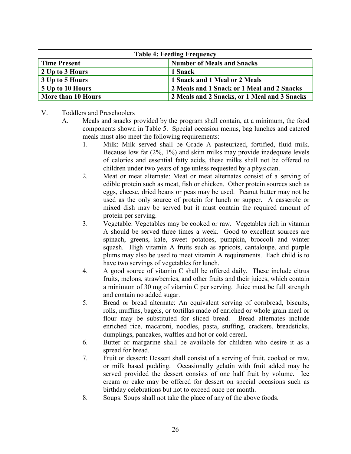| <b>Table 4: Feeding Frequency</b> |                                              |  |  |  |  |
|-----------------------------------|----------------------------------------------|--|--|--|--|
| <b>Time Present</b>               | <b>Number of Meals and Snacks</b>            |  |  |  |  |
| 2 Up to 3 Hours                   | 1 Snack                                      |  |  |  |  |
| 3 Up to 5 Hours                   | 1 Snack and 1 Meal or 2 Meals                |  |  |  |  |
| 5 Up to 10 Hours                  | 2 Meals and 1 Snack or 1 Meal and 2 Snacks   |  |  |  |  |
| More than 10 Hours                | 2 Meals and 2 Snacks, or 1 Meal and 3 Snacks |  |  |  |  |

- V. Toddlers and Preschoolers
	- A. Meals and snacks provided by the program shall contain, at a minimum, the food components shown in Table 5. Special occasion menus, bag lunches and catered meals must also meet the following requirements:
		- 1. Milk: Milk served shall be Grade A pasteurized, fortified, fluid milk. Because low fat (2%, 1%) and skim milks may provide inadequate levels of calories and essential fatty acids, these milks shall not be offered to children under two years of age unless requested by a physician.
		- 2. Meat or meat alternate: Meat or meat alternates consist of a serving of edible protein such as meat, fish or chicken. Other protein sources such as eggs, cheese, dried beans or peas may be used. Peanut butter may not be used as the only source of protein for lunch or supper. A casserole or mixed dish may be served but it must contain the required amount of protein per serving.
		- 3. Vegetable: Vegetables may be cooked or raw. Vegetables rich in vitamin A should be served three times a week. Good to excellent sources are spinach, greens, kale, sweet potatoes, pumpkin, broccoli and winter squash. High vitamin A fruits such as apricots, cantaloupe, and purple plums may also be used to meet vitamin A requirements. Each child is to have two servings of vegetables for lunch.
		- 4. A good source of vitamin C shall be offered daily. These include citrus fruits, melons, strawberries, and other fruits and their juices, which contain a minimum of 30 mg of vitamin C per serving. Juice must be full strength and contain no added sugar.
		- 5. Bread or bread alternate: An equivalent serving of cornbread, biscuits, rolls, muffins, bagels, or tortillas made of enriched or whole grain meal or flour may be substituted for sliced bread. Bread alternates include enriched rice, macaroni, noodles, pasta, stuffing, crackers, breadsticks, dumplings, pancakes, waffles and hot or cold cereal.
		- 6. Butter or margarine shall be available for children who desire it as a spread for bread.
		- 7. Fruit or dessert: Dessert shall consist of a serving of fruit, cooked or raw, or milk based pudding. Occasionally gelatin with fruit added may be served provided the dessert consists of one half fruit by volume. Ice cream or cake may be offered for dessert on special occasions such as birthday celebrations but not to exceed once per month.
		- 8. Soups: Soups shall not take the place of any of the above foods.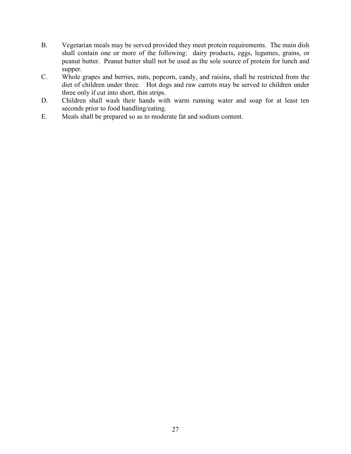- B. Vegetarian meals may be served provided they meet protein requirements. The main dish shall contain one or more of the following: dairy products, eggs, legumes, grains, or peanut butter. Peanut butter shall not be used as the sole source of protein for lunch and supper.
- C. Whole grapes and berries, nuts, popcorn, candy, and raisins, shall be restricted from the diet of children under three. Hot dogs and raw carrots may be served to children under three only if cut into short, thin strips.
- D. Children shall wash their hands with warm running water and soap for at least ten seconds prior to food handling/eating.
- E. Meals shall be prepared so as to moderate fat and sodium content.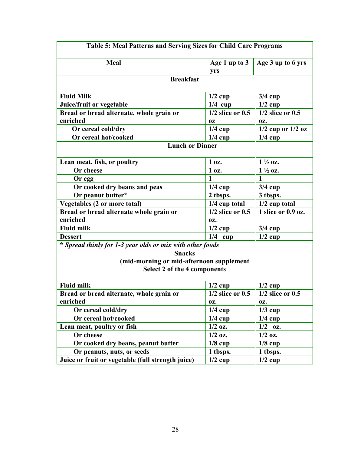| <b>Table 5: Meal Patterns and Serving Sizes for Child Care Programs</b>                   |                      |                       |  |  |  |  |  |  |  |
|-------------------------------------------------------------------------------------------|----------------------|-----------------------|--|--|--|--|--|--|--|
| <b>Meal</b>                                                                               | Age 1 up to 3<br>yrs | Age 3 up to 6 yrs     |  |  |  |  |  |  |  |
| <b>Breakfast</b>                                                                          |                      |                       |  |  |  |  |  |  |  |
| <b>Fluid Milk</b>                                                                         | $1/2$ cup            | $3/4$ cup             |  |  |  |  |  |  |  |
| Juice/fruit or vegetable                                                                  | $1/4$ cup            | $1/2$ cup             |  |  |  |  |  |  |  |
| Bread or bread alternate, whole grain or                                                  | $1/2$ slice or $0.5$ | $1/2$ slice or $0.5$  |  |  |  |  |  |  |  |
| enriched                                                                                  | 0Z                   | OZ.                   |  |  |  |  |  |  |  |
| Or cereal cold/dry                                                                        | $1/4$ cup            | $1/2$ cup or $1/2$ oz |  |  |  |  |  |  |  |
| Or cereal hot/cooked                                                                      | $1/4$ cup            | $1/4$ cup             |  |  |  |  |  |  |  |
| <b>Lunch or Dinner</b>                                                                    |                      |                       |  |  |  |  |  |  |  |
| Lean meat, fish, or poultry                                                               | 1 oz.                | $1\frac{1}{2}$ oz.    |  |  |  |  |  |  |  |
| Or cheese                                                                                 | 1 oz.                | $1\frac{1}{2}$ oz.    |  |  |  |  |  |  |  |
| Or egg                                                                                    | $\mathbf{1}$         | 1                     |  |  |  |  |  |  |  |
| Or cooked dry beans and peas                                                              | $1/4$ cup            | $3/4$ cup             |  |  |  |  |  |  |  |
| Or peanut butter*                                                                         | 2 tbsps.             | 3 tbsps.              |  |  |  |  |  |  |  |
| <b>Vegetables (2 or more total)</b>                                                       | 1/4 cup total        | $1/2$ cup total       |  |  |  |  |  |  |  |
| Bread or bread alternate whole grain or                                                   | $1/2$ slice or $0.5$ | 1 slice or 0.9 oz.    |  |  |  |  |  |  |  |
| enriched                                                                                  | OZ.                  |                       |  |  |  |  |  |  |  |
| <b>Fluid milk</b>                                                                         | $1/2$ cup            | $3/4$ cup             |  |  |  |  |  |  |  |
| <b>Dessert</b>                                                                            | $1/4$ cup            | $1/2$ cup             |  |  |  |  |  |  |  |
| * Spread thinly for 1-3 year olds or mix with other foods                                 |                      |                       |  |  |  |  |  |  |  |
| <b>Snacks</b><br>(mid-morning or mid-afternoon supplement<br>Select 2 of the 4 components |                      |                       |  |  |  |  |  |  |  |
| <b>Fluid milk</b>                                                                         | $1/2$ cup            | $1/2$ cup             |  |  |  |  |  |  |  |
| Bread or bread alternate, whole grain or                                                  | $1/2$ slice or $0.5$ | $1/2$ slice or $0.5$  |  |  |  |  |  |  |  |
| enriched                                                                                  | OZ.                  | 0Z.                   |  |  |  |  |  |  |  |
| Or cereal cold/dry                                                                        | $1/4$ cup            | $1/3$ cup             |  |  |  |  |  |  |  |
| Or cereal hot/cooked                                                                      | $1/4$ cup            | $1/4$ cup             |  |  |  |  |  |  |  |
| Lean meat, poultry or fish                                                                | $1/2$ oz.            | $1/2$ oz.             |  |  |  |  |  |  |  |
| Or cheese                                                                                 | $1/2$ oz.            | $1/2$ oz.             |  |  |  |  |  |  |  |
| Or cooked dry beans, peanut butter                                                        | $1/8$ cup            | $1/8$ cup             |  |  |  |  |  |  |  |
| Or peanuts, nuts, or seeds                                                                | 1 tbsps.             | 1 tbsps.              |  |  |  |  |  |  |  |
| Juice or fruit or vegetable (full strength juice)                                         | $1/2$ cup            | $1/2$ cup             |  |  |  |  |  |  |  |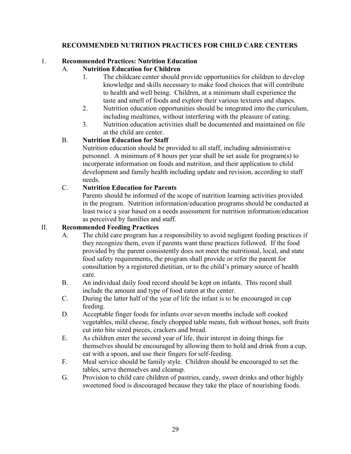#### **RECOMMENDED NUTRITION PRACTICES FOR CHILD CARE CENTERS**

#### 1. **Recommended Practices: Nutrition Education**

## A. **Nutrition Education for Children**

- 1. The childcare center should provide opportunities for children to develop knowledge and skills necessary to make food choices that will contribute to health and well being. Children, at a minimum shall experience the taste and smell of foods and explore their various textures and shapes.
- 2. Nutrition education opportunities should be integrated into the curriculum, including mealtimes, without interfering with the pleasure of eating.
- 3. Nutrition education activities shall be documented and maintained on file at the child are center.

#### B. **Nutrition Education for Staff**

Nutrition education should be provided to all staff, including administrative personnel. A minimum of 8 hours per year shall be set aside for program(s) to incorporate information on foods and nutrition, and their application to child development and family health including update and revision, according to staff needs.

## C. **Nutrition Education for Parents**

Parents should be informed of the scope of nutrition learning activities provided in the program. Nutrition information/education programs should be conducted at least twice a year based on a needs assessment for nutrition information/education as perceived by families and staff.

#### II. **Recommended Feeding Practices**

- A. The child care program has a responsibility to avoid negligent feeding practices if they recognize them, even if parents want these practices followed. If the food provided by the parent consistently does not meet the nutritional, local, and state food safety requirements, the program shall provide or refer the parent for consultation by a registered dietitian, or to the child's primary source of health care.
- B. An individual daily food record should be kept on infants. This record shall include the amount and type of food eaten at the center.
- C. During the latter half of the year of life the infant is to be encouraged in cup feeding.
- D. Acceptable finger foods for infants over seven months include soft cooked vegetables, mild cheese, finely chopped table meats, fish without bones, soft fruits cut into bite sized pieces, crackers and bread.
- E. As children enter the second year of life, their interest in doing things for themselves should be encouraged by allowing them to hold and drink from a cup, eat with a spoon, and use their fingers for self-feeding.
- F. Meal service should be family style. Children should be encouraged to set the tables, serve themselves and cleanup.
- G. Provision to child care children of pastries, candy, sweet drinks and other highly sweetened food is discouraged because they take the place of nourishing foods.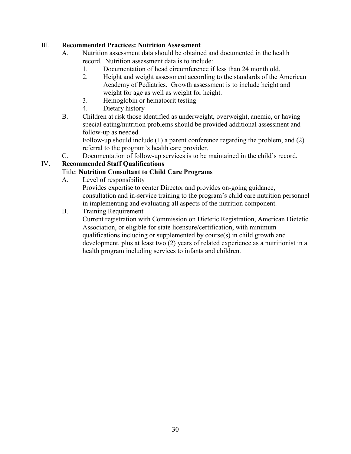#### III. **Recommended Practices: Nutrition Assessment**

- A. Nutrition assessment data should be obtained and documented in the health record. Nutrition assessment data is to include:
	- 1. Documentation of head circumference if less than 24 month old.
	- 2. Height and weight assessment according to the standards of the American Academy of Pediatrics. Growth assessment is to include height and weight for age as well as weight for height.
	- 3. Hemoglobin or hematocrit testing
	- 4. Dietary history
- B. Children at risk those identified as underweight, overweight, anemic, or having special eating/nutrition problems should be provided additional assessment and follow-up as needed.

Follow-up should include (1) a parent conference regarding the problem, and (2) referral to the program's health care provider.

C. Documentation of follow-up services is to be maintained in the child's record.

## IV. **Recommended Staff Qualifications**

#### Title: **Nutrition Consultant to Child Care Programs**

A. Level of responsibility

Provides expertise to center Director and provides on-going guidance, consultation and in-service training to the program's child care nutrition personnel in implementing and evaluating all aspects of the nutrition component.

B. Training Requirement

Current registration with Commission on Dietetic Registration, American Dietetic Association, or eligible for state licensure/certification, with minimum qualifications including or supplemented by course(s) in child growth and development, plus at least two (2) years of related experience as a nutritionist in a health program including services to infants and children.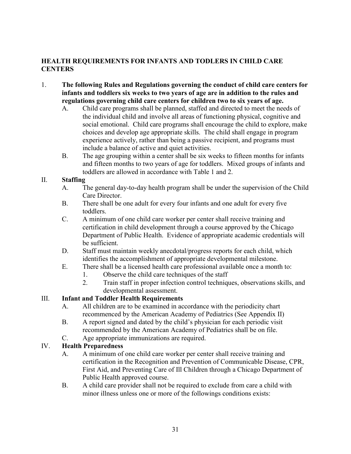## **HEALTH REQUIREMENTS FOR INFANTS AND TODLERS IN CHILD CARE CENTERS**

- 1. **The following Rules and Regulations governing the conduct of child care centers for infants and toddlers six weeks to two years of age are in addition to the rules and regulations governing child care centers for children two to six years of age.**
	- A. Child care programs shall be planned, staffed and directed to meet the needs of the individual child and involve all areas of functioning physical, cognitive and social emotional. Child care programs shall encourage the child to explore, make choices and develop age appropriate skills. The child shall engage in program experience actively, rather than being a passive recipient, and programs must include a balance of active and quiet activities.
	- B. The age grouping within a center shall be six weeks to fifteen months for infants and fifteen months to two years of age for toddlers. Mixed groups of infants and toddlers are allowed in accordance with Table 1 and 2.

#### II. **Staffing**

- A. The general day-to-day health program shall be under the supervision of the Child Care Director.
- B. There shall be one adult for every four infants and one adult for every five toddlers.
- C. A minimum of one child care worker per center shall receive training and certification in child development through a course approved by the Chicago Department of Public Health. Evidence of appropriate academic credentials will be sufficient.
- D. Staff must maintain weekly anecdotal/progress reports for each child, which identifies the accomplishment of appropriate developmental milestone.
- E. There shall be a licensed health care professional available once a month to:
	- 1. Observe the child care techniques of the staff
	- 2. Train staff in proper infection control techniques, observations skills, and developmental assessment.

## III. **Infant and Toddler Health Requirements**

- A. All children are to be examined in accordance with the periodicity chart recommenced by the American Academy of Pediatrics (See Appendix II)
- B. A report signed and dated by the child's physician for each periodic visit recommended by the American Academy of Pediatrics shall be on file.
- C. Age appropriate immunizations are required.

## IV. **Health Preparedness**

- A. A minimum of one child care worker per center shall receive training and certification in the Recognition and Prevention of Communicable Disease, CPR, First Aid, and Preventing Care of Ill Children through a Chicago Department of Public Health approved course.
- B. A child care provider shall not be required to exclude from care a child with minor illness unless one or more of the followings conditions exists: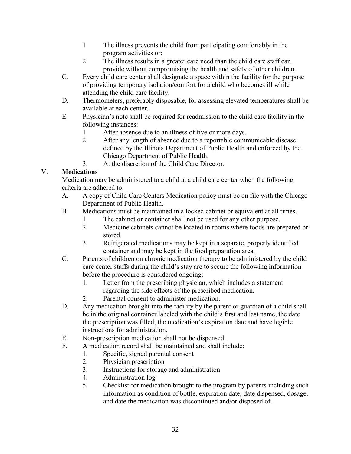- 1. The illness prevents the child from participating comfortably in the program activities or;
- 2. The illness results in a greater care need than the child care staff can provide without compromising the health and safety of other children.
- C. Every child care center shall designate a space within the facility for the purpose of providing temporary isolation/comfort for a child who becomes ill while attending the child care facility.
- D. Thermometers, preferably disposable, for assessing elevated temperatures shall be available at each center.
- E. Physician's note shall be required for readmission to the child care facility in the following instances:
	- 1. After absence due to an illness of five or more days.
	- 2. After any length of absence due to a reportable communicable disease defined by the Illinois Department of Public Health and enforced by the Chicago Department of Public Health.
	- 3. At the discretion of the Child Care Director.

## V. **Medications**

Medication may be administered to a child at a child care center when the following criteria are adhered to:

- A. A copy of Child Care Centers Medication policy must be on file with the Chicago Department of Public Health.
- B. Medications must be maintained in a locked cabinet or equivalent at all times.
	- 1. The cabinet or container shall not be used for any other purpose.
	- 2. Medicine cabinets cannot be located in rooms where foods are prepared or stored.
	- 3. Refrigerated medications may be kept in a separate, properly identified container and may be kept in the food preparation area.
- C. Parents of children on chronic medication therapy to be administered by the child care center staffs during the child's stay are to secure the following information before the procedure is considered ongoing:
	- 1. Letter from the prescribing physician, which includes a statement regarding the side effects of the prescribed medication.
	- 2. Parental consent to administer medication.
- D. Any medication brought into the facility by the parent or guardian of a child shall be in the original container labeled with the child's first and last name, the date the prescription was filled, the medication's expiration date and have legible instructions for administration.
- E. Non-prescription medication shall not be dispensed.
- F. A medication record shall be maintained and shall include:
	- 1. Specific, signed parental consent
	- 2. Physician prescription
	- 3. Instructions for storage and administration
	- 4. Administration log
	- 5. Checklist for medication brought to the program by parents including such information as condition of bottle, expiration date, date dispensed, dosage, and date the medication was discontinued and/or disposed of.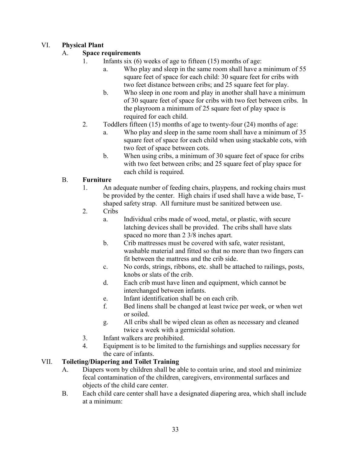## VI. **Physical Plant**

## A. **Space requirements**

- 1. Infants six (6) weeks of age to fifteen (15) months of age:
	- a. Who play and sleep in the same room shall have a minimum of 55 square feet of space for each child: 30 square feet for cribs with two feet distance between cribs; and 25 square feet for play.
	- b. Who sleep in one room and play in another shall have a minimum of 30 square feet of space for cribs with two feet between cribs. In the playroom a minimum of 25 square feet of play space is required for each child.
- 2. Toddlers fifteen (15) months of age to twenty-four (24) months of age:
	- a. Who play and sleep in the same room shall have a minimum of 35 square feet of space for each child when using stackable cots, with two feet of space between cots.
	- b. When using cribs, a minimum of 30 square feet of space for cribs with two feet between cribs; and 25 square feet of play space for each child is required.

## B. **Furniture**

- 1. An adequate number of feeding chairs, playpens, and rocking chairs must be provided by the center. High chairs if used shall have a wide base, Tshaped safety strap. All furniture must be sanitized between use.
- 2. Cribs
	- a. Individual cribs made of wood, metal, or plastic, with secure latching devices shall be provided. The cribs shall have slats spaced no more than 2 3/8 inches apart.
	- b. Crib mattresses must be covered with safe, water resistant, washable material and fitted so that no more than two fingers can fit between the mattress and the crib side.
	- c. No cords, strings, ribbons, etc. shall be attached to railings, posts, knobs or slats of the crib.
	- d. Each crib must have linen and equipment, which cannot be interchanged between infants.
	- e. Infant identification shall be on each crib.
	- f. Bed linens shall be changed at least twice per week, or when wet or soiled.
	- g. All cribs shall be wiped clean as often as necessary and cleaned twice a week with a germicidal solution.
- 3. Infant walkers are prohibited.
- 4. Equipment is to be limited to the furnishings and supplies necessary for the care of infants.

## VII. **Toileting/Diapering and Toilet Training**

- A. Diapers worn by children shall be able to contain urine, and stool and minimize fecal contamination of the children, caregivers, environmental surfaces and objects of the child care center.
- B. Each child care center shall have a designated diapering area, which shall include at a minimum: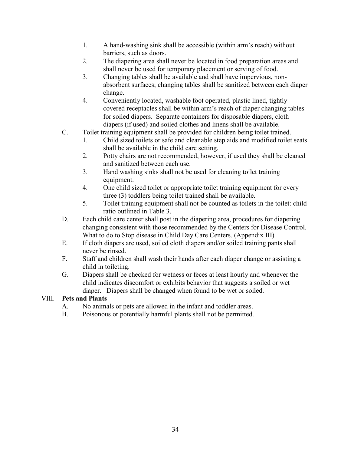- 1. A hand-washing sink shall be accessible (within arm's reach) without barriers, such as doors.
- 2. The diapering area shall never be located in food preparation areas and shall never be used for temporary placement or serving of food.
- 3. Changing tables shall be available and shall have impervious, nonabsorbent surfaces; changing tables shall be sanitized between each diaper change.
- 4. Conveniently located, washable foot operated, plastic lined, tightly covered receptacles shall be within arm's reach of diaper changing tables for soiled diapers. Separate containers for disposable diapers, cloth diapers (if used) and soiled clothes and linens shall be available.
- C. Toilet training equipment shall be provided for children being toilet trained.
	- 1. Child sized toilets or safe and cleanable step aids and modified toilet seats shall be available in the child care setting.
	- 2. Potty chairs are not recommended, however, if used they shall be cleaned and sanitized between each use.
	- 3. Hand washing sinks shall not be used for cleaning toilet training equipment.
	- 4. One child sized toilet or appropriate toilet training equipment for every three (3) toddlers being toilet trained shall be available.
	- 5. Toilet training equipment shall not be counted as toilets in the toilet: child ratio outlined in Table 3.
- D. Each child care center shall post in the diapering area, procedures for diapering changing consistent with those recommended by the Centers for Disease Control. What to do to Stop disease in Child Day Care Centers. (Appendix III)
- E. If cloth diapers are used, soiled cloth diapers and/or soiled training pants shall never be rinsed.
- F. Staff and children shall wash their hands after each diaper change or assisting a child in toileting.
- G. Diapers shall be checked for wetness or feces at least hourly and whenever the child indicates discomfort or exhibits behavior that suggests a soiled or wet diaper. Diapers shall be changed when found to be wet or soiled.

## VIII. **Pets and Plants**

- A. No animals or pets are allowed in the infant and toddler areas.
- B. Poisonous or potentially harmful plants shall not be permitted.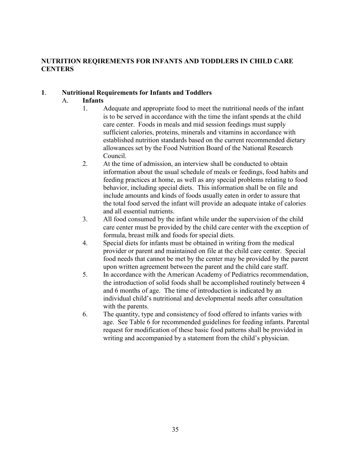#### **NUTRITION REQIREMENTS FOR INFANTS AND TODDLERS IN CHILD CARE CENTERS**

#### **1**. **Nutritional Requirements for Infants and Toddlers**

#### A. **Infants**

- 1. Adequate and appropriate food to meet the nutritional needs of the infant is to be served in accordance with the time the infant spends at the child care center. Foods in meals and mid session feedings must supply sufficient calories, proteins, minerals and vitamins in accordance with established nutrition standards based on the current recommended dietary allowances set by the Food Nutrition Board of the National Research Council.
- 2. At the time of admission, an interview shall be conducted to obtain information about the usual schedule of meals or feedings, food habits and feeding practices at home, as well as any special problems relating to food behavior, including special diets. This information shall be on file and include amounts and kinds of foods usually eaten in order to assure that the total food served the infant will provide an adequate intake of calories and all essential nutrients.
- 3. All food consumed by the infant while under the supervision of the child care center must be provided by the child care center with the exception of formula, breast milk and foods for special diets.
- 4. Special diets for infants must be obtained in writing from the medical provider or parent and maintained on file at the child care center. Special food needs that cannot be met by the center may be provided by the parent upon written agreement between the parent and the child care staff.
- 5. In accordance with the American Academy of Pediatrics recommendation, the introduction of solid foods shall be accomplished routinely between 4 and 6 months of age. The time of introduction is indicated by an individual child's nutritional and developmental needs after consultation with the parents.
- 6. The quantity, type and consistency of food offered to infants varies with age. See Table 6 for recommended guidelines for feeding infants. Parental request for modification of these basic food patterns shall be provided in writing and accompanied by a statement from the child's physician.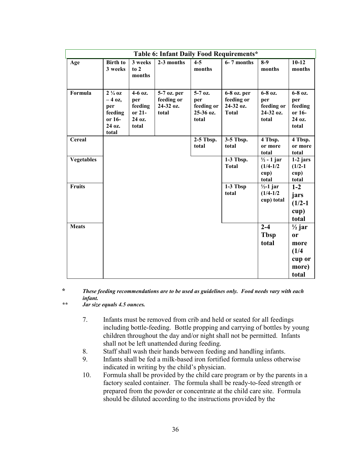|                   | Table 6: Infant Daily Food Requirements*                                     |                                                        |                                                 |                                                      |                                                        |                                                         |                                                                                 |  |  |  |  |
|-------------------|------------------------------------------------------------------------------|--------------------------------------------------------|-------------------------------------------------|------------------------------------------------------|--------------------------------------------------------|---------------------------------------------------------|---------------------------------------------------------------------------------|--|--|--|--|
| Age               | <b>Birth to</b><br>3 weeks                                                   | 3 weeks<br>to 2<br>months                              | 2-3 months                                      | $4 - 5$<br>months                                    | 6-7 months                                             | $8-9$<br>months                                         | $10-12$<br>months                                                               |  |  |  |  |
| Formula           | $2\frac{1}{4}$ oz<br>$-4$ oz,<br>per<br>feeding<br>or 16-<br>24 oz.<br>total | 4-6 oz.<br>per<br>feeding<br>or 21-<br>24 oz.<br>total | 5-7 oz. per<br>feeding or<br>24-32 oz.<br>total | $5-7$ oz.<br>per<br>feeding or<br>25-36 oz.<br>total | 6-8 oz. per<br>feeding or<br>24-32 oz.<br><b>Total</b> | 6-8 oz.<br>per<br>feeding or<br>24-32 oz.<br>total      | 6-8 oz.<br>per<br>feeding<br>or 16-<br>24 oz.<br>total                          |  |  |  |  |
| Cereal            |                                                                              |                                                        |                                                 | $2-5$ Tbsp.<br>total                                 | 3-5 Tbsp.<br>total                                     | 4 Tbsp.<br>or more<br>total                             | 4 Tbsp.<br>or more<br>total                                                     |  |  |  |  |
| <b>Vegetables</b> |                                                                              |                                                        |                                                 |                                                      | 1-3 Tbsp.<br><b>Total</b>                              | $\frac{1}{2}$ - 1 jar<br>$(1/4 - 1/2)$<br>cup)<br>total | $1-2$ jars<br>$(1/2-1)$<br>cup)<br>total                                        |  |  |  |  |
| <b>Fruits</b>     |                                                                              |                                                        |                                                 |                                                      | 1-3 Tbsp<br>total                                      | $\frac{1}{2}$ -1 jar<br>$(1/4 - 1/2)$<br>cup) total     | $1-2$<br>jars<br>$(1/2-1)$<br>cup)<br>total                                     |  |  |  |  |
| <b>Meats</b>      |                                                                              |                                                        |                                                 |                                                      |                                                        | $2 - 4$<br><b>Tbsp</b><br>total                         | $\frac{1}{2}$ jar<br><sub>or</sub><br>more<br>(1/4)<br>cup or<br>more)<br>total |  |  |  |  |

#### **\*** *These feeding recommendations are to be used as guidelines only. Food needs vary with each infant.*

*\*\* Jar size equals 4.5 ounces.*

- 7. Infants must be removed from crib and held or seated for all feedings including bottle-feeding. Bottle propping and carrying of bottles by young children throughout the day and/or night shall not be permitted. Infants shall not be left unattended during feeding.
- 8. Staff shall wash their hands between feeding and handling infants.
- 9. Infants shall be fed a milk-based iron fortified formula unless otherwise indicated in writing by the child's physician.
- 10. Formula shall be provided by the child care program or by the parents in a factory sealed container. The formula shall be ready-to-feed strength or prepared from the powder or concentrate at the child care site. Formula should be diluted according to the instructions provided by the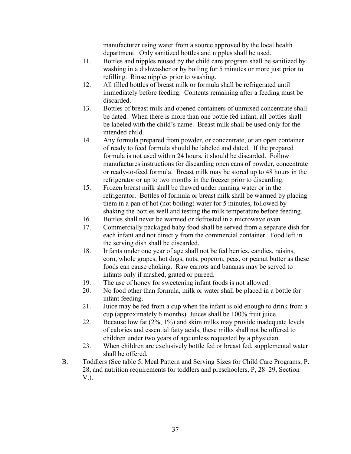manufacturer using water from a source approved by the local health department. Only sanitized bottles and nipples shall be used.

- 11. Bottles and nipples reused by the child care program shall be sanitized by washing in a dishwasher or by boiling for 5 minutes or more just prior to refilling. Rinse nipples prior to washing.
- 12. All filled bottles of breast milk or formula shall be refrigerated until immediately before feeding. Contents remaining after a feeding must be discarded.
- 13. Bottles of breast milk and opened containers of unmixed concentrate shall be dated. When there is more than one bottle fed infant, all bottles shall be labeled with the child's name. Breast milk shall be used only for the intended child.
- 14. Any formula prepared from powder, or concentrate, or an open container of ready to feed formula should be labeled and dated. If the prepared formula is not used within 24 hours, it should be discarded. Follow manufactures instructions for discarding open cans of powder, concentrate or ready-to-feed formula. Breast milk may be stored up to 48 hours in the refrigerator or up to two months in the freezer prior to discarding.
- 15. Frozen breast milk shall be thawed under running water or in the refrigerator. Bottles of formula or breast milk shall be warmed by placing them in a pan of hot (not boiling) water for 5 minutes, followed by shaking the bottles well and testing the milk temperature before feeding.
- 16. Bottles shall never be warmed or defrosted in a microwave oven.
- 17. Commercially packaged baby food shall be served from a separate dish for each infant and not directly from the commercial container. Food left in the serving dish shall be discarded.
- 18. Infants under one year of age shall not be fed berries, candies, raisins, corn, whole grapes, hot dogs, nuts, popcorn, peas, or peanut butter as these foods can cause choking. Raw carrots and bananas may be served to infants only if mashed, grated or pureed.
- 19. The use of honey for sweetening infant foods is not allowed.
- 20. No food other than formula, milk or water shall be placed in a bottle for infant feeding.
- 21. Juice may be fed from a cup when the infant is old enough to drink from a cup (approximately 6 months). Juices shall be 100% fruit juice.
- 22. Because low fat (2%, 1%) and skim milks may provide inadequate levels of calories and essential fatty acids, these milks shall not be offered to children under two years of age unless requested by a physician.
- 23. When children are exclusively bottle fed or breast fed, supplemental water shall be offered.
- B. Toddlers (See table 5, Meal Pattern and Serving Sizes for Child Care Programs, P. 28, and nutrition requirements for toddlers and preschoolers, P, 28–29, Section V.).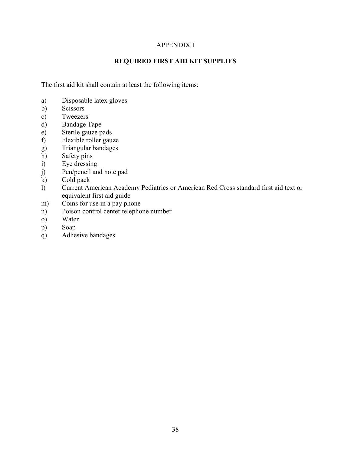#### APPENDIX I

## **REQUIRED FIRST AID KIT SUPPLIES**

The first aid kit shall contain at least the following items:

- a) Disposable latex gloves
- b) Scissors
- c) Tweezers
- d) Bandage Tape
- e) Sterile gauze pads
- f) Flexible roller gauze
- g) Triangular bandages
- h) Safety pins<br>i) Eye dressing
- Eye dressing
- j) Pen/pencil and note pad
- k) Cold pack
- l) Current American Academy Pediatrics or American Red Cross standard first aid text or equivalent first aid guide
- m) Coins for use in a pay phone
- n) Poison control center telephone number
- o) Water
- p) Soap
- q) Adhesive bandages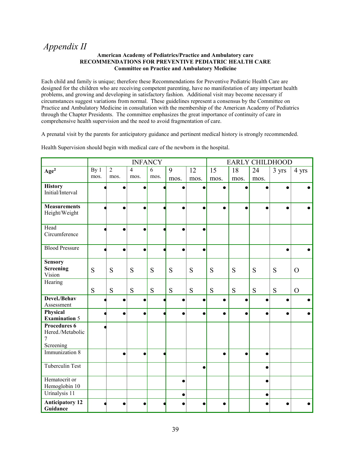## *Appendix II*

#### **American Academy of Pediatrics/Practice and Ambulatory care RECOMMENDATIONS FOR PREVENTIVE PEDIATRIC HEALTH CARE Committee on Practice and Ambulatory Medicine**

Each child and family is unique; therefore these Recommendations for Preventive Pediatric Health Care are designed for the children who are receiving competent parenting, have no manifestation of any important health problems, and growing and developing in satisfactory fashion. Additional visit may become necessary if circumstances suggest variations from normal. These guidelines represent a consensus by the Committee on Practice and Ambulatory Medicine in consultation with the membership of the American Academy of Pediatrics through the Chapter Presidents. The committee emphasizes the great importance of continuity of care in comprehensive health supervision and the need to avoid fragmentation of care.

A prenatal visit by the parents for anticipatory guidance and pertinent medical history is strongly recommended.

|                                  |                 |                |                | <b>INFANCY</b> |                |                 |                 |           |                 | <b>EARLY CHILDHOOD</b> |                |
|----------------------------------|-----------------|----------------|----------------|----------------|----------------|-----------------|-----------------|-----------|-----------------|------------------------|----------------|
| Age <sup>2</sup>                 | By <sub>1</sub> | $\overline{2}$ | $\overline{4}$ | $\overline{6}$ | $\overline{9}$ | $\overline{12}$ | $\overline{15}$ | 18        | $\overline{24}$ | 3 yrs                  | 4 yrs          |
|                                  | mos.            | mos.           | mos.           | mos.           | mos.           | mos.            | mos.            | mos.      | mos.            |                        |                |
| <b>History</b>                   |                 |                | Ċ              |                |                |                 | $\bullet$       | $\bullet$ |                 |                        |                |
| Initial/Interval                 |                 |                |                |                |                |                 |                 |           |                 |                        |                |
| <b>Measurements</b>              |                 |                |                |                |                |                 | $\bullet$       |           |                 |                        |                |
| Height/Weight                    |                 |                |                |                |                |                 |                 |           |                 |                        |                |
| Head                             |                 | $\bullet$      | $\bullet$      |                |                |                 |                 |           |                 |                        |                |
| Circumference                    |                 |                |                |                |                |                 |                 |           |                 |                        |                |
| <b>Blood Pressure</b>            |                 |                | $\bullet$      |                |                |                 |                 |           |                 |                        |                |
| <b>Sensory</b>                   |                 |                |                |                |                |                 |                 |           |                 |                        |                |
| Screening                        | S               | S              | S              | S              | S              | S               | S               | S         | S               | S                      | $\Omega$       |
| Vision<br>Hearing                |                 |                |                |                |                |                 |                 |           |                 |                        |                |
|                                  | S               | S              | S              | S              | S              | S               | S               | S         | S               | S                      | $\overline{O}$ |
| Devel./Behav                     |                 | ●              | $\bullet$      |                |                |                 | $\bullet$       | $\bullet$ |                 |                        |                |
| Assessment                       |                 |                |                |                |                |                 |                 |           |                 |                        |                |
| Physical<br><b>Examination 5</b> |                 | $\bullet$      | $\bullet$      |                |                |                 | $\bullet$       | $\bullet$ | $\bullet$       | $\bullet$              |                |
| <b>Procedures 6</b>              |                 |                |                |                |                |                 |                 |           |                 |                        |                |
| Hered./Metabolic                 |                 |                |                |                |                |                 |                 |           |                 |                        |                |
| Screening                        |                 |                |                |                |                |                 |                 |           |                 |                        |                |
| Immunization 8                   |                 |                | $\bullet$      |                |                |                 | $\bullet$       | $\bullet$ | $\bullet$       |                        |                |
| <b>Tuberculin Test</b>           |                 |                |                |                |                |                 |                 |           |                 |                        |                |
| Hematocrit or                    |                 |                |                |                |                |                 |                 |           |                 |                        |                |
| Hemoglobin 10                    |                 |                |                |                |                |                 |                 |           |                 |                        |                |
| Urinalysis 11                    |                 |                |                |                |                |                 |                 |           |                 |                        |                |
| <b>Anticipatory 12</b>           |                 |                |                |                |                |                 |                 |           |                 |                        |                |
| Guidance                         |                 |                |                |                |                |                 |                 |           |                 |                        |                |

Health Supervision should begin with medical care of the newborn in the hospital.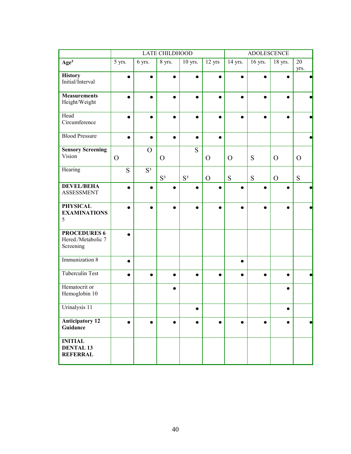|                                                        |                |           | <b>LATE CHILDHOOD</b> |                |               | <b>ADOLESCENCE</b> |           |                |               |
|--------------------------------------------------------|----------------|-----------|-----------------------|----------------|---------------|--------------------|-----------|----------------|---------------|
| Age <sup>2</sup>                                       | 5 yrs.         | 6 yrs.    | 8 yrs.                | 10 yrs.        | 12 yrs        | 14 yrs.            | $16$ yrs. | 18 yrs.        | 20<br>yrs.    |
| <b>History</b><br>Initial/Interval                     |                |           |                       |                |               |                    |           |                |               |
| <b>Measurements</b><br>Height/Weight                   |                |           |                       |                |               |                    |           |                |               |
| Head<br>Circumference                                  |                |           |                       |                |               |                    |           |                |               |
| <b>Blood Pressure</b>                                  | $\bullet$      | $\bullet$ |                       | $\bullet$      | $\bullet$     |                    |           |                |               |
| <b>Sensory Screening</b><br>Vision                     | $\overline{O}$ | $\Omega$  | $\mathbf{O}$          | S              | $\mathcal{O}$ | $\mathbf{O}$       | S         | $\mathbf{O}$   | $\mathcal{O}$ |
| Hearing                                                | S              | $S^3$     | $S^3$                 | S <sup>3</sup> | $\mathcal{O}$ | S                  | ${\bf S}$ | $\overline{O}$ | S             |
| <b>DEVEL/BEHA</b><br><b>ASSESSMENT</b>                 |                |           |                       |                |               |                    |           |                |               |
| <b>PHYSICAL</b><br><b>EXAMINATIONS</b><br>5            |                |           |                       |                |               |                    |           |                |               |
| <b>PROCEDURES 6</b><br>Hered./Metabolic 7<br>Screening |                |           |                       |                |               |                    |           |                |               |
| Immunization 8                                         | $\bullet$      |           |                       |                |               |                    |           |                |               |
| <b>Tuberculin Test</b>                                 | $\bullet$      | $\bullet$ | $\bullet$             | $\bullet$      | ٠             |                    | $\bullet$ | $\bullet$      |               |
| Hematocrit or<br>Hemoglobin 10                         |                |           |                       |                |               |                    |           |                |               |
| Urinalysis 11                                          |                |           |                       | ●              |               |                    |           | ٠              |               |
| <b>Anticipatory 12</b><br>Guidance                     | $\bullet$      | $\bullet$ |                       | $\bullet$      |               |                    | $\bullet$ |                |               |
| <b>INITIAL</b><br><b>DENTAL 13</b><br><b>REFERRAL</b>  |                |           |                       |                |               |                    |           |                |               |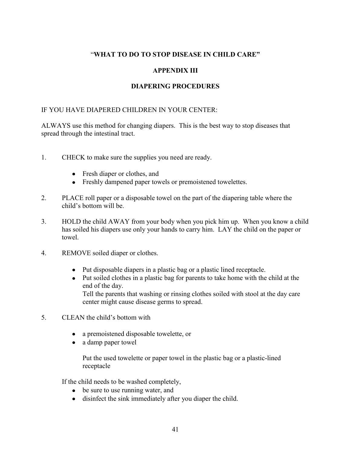#### "**WHAT TO DO TO STOP DISEASE IN CHILD CARE"**

#### **APPENDIX III**

#### **DIAPERING PROCEDURES**

#### IF YOU HAVE DIAPERED CHILDREN IN YOUR CENTER:

ALWAYS use this method for changing diapers. This is the best way to stop diseases that spread through the intestinal tract.

- 1. CHECK to make sure the supplies you need are ready.
	- Fresh diaper or clothes, and
	- Freshly dampened paper towels or premoistened towelettes.
- 2. PLACE roll paper or a disposable towel on the part of the diapering table where the child's bottom will be.
- 3. HOLD the child AWAY from your body when you pick him up. When you know a child has soiled his diapers use only your hands to carry him. LAY the child on the paper or towel.
- 4. REMOVE soiled diaper or clothes.
	- Put disposable diapers in a plastic bag or a plastic lined receptacle.
	- Put soiled clothes in a plastic bag for parents to take home with the child at the end of the day. Tell the parents that washing or rinsing clothes soiled with stool at the day care

center might cause disease germs to spread.

- 5. CLEAN the child's bottom with
	- a premoistened disposable towelette, or  $\bullet$
	- a damp paper towel  $\bullet$

Put the used towelette or paper towel in the plastic bag or a plastic-lined receptacle

If the child needs to be washed completely,

- be sure to use running water, and
- disinfect the sink immediately after you diaper the child.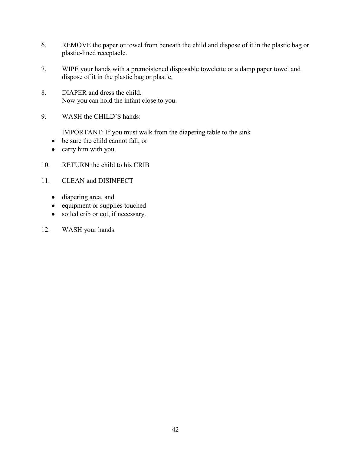- 6. REMOVE the paper or towel from beneath the child and dispose of it in the plastic bag or plastic-lined receptacle.
- 7. WIPE your hands with a premoistened disposable towelette or a damp paper towel and dispose of it in the plastic bag or plastic.
- 8. DIAPER and dress the child. Now you can hold the infant close to you.
- 9. WASH the CHILD'S hands:

IMPORTANT: If you must walk from the diapering table to the sink

- be sure the child cannot fall, or
- carry him with you.  $\bullet$
- 10. RETURN the child to his CRIB
- 11. CLEAN and DISINFECT
	- diapering area, and
	- equipment or supplies touched
	- soiled crib or cot, if necessary.
- 12. WASH your hands.